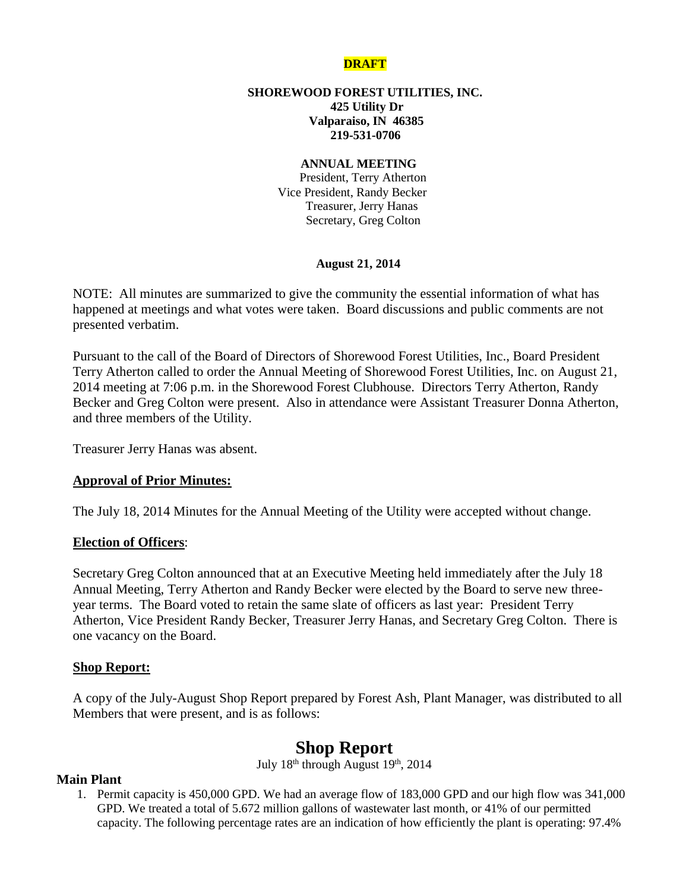## **DRAFT**

### **SHOREWOOD FOREST UTILITIES, INC. 425 Utility Dr Valparaiso, IN 46385 219-531-0706**

### **ANNUAL MEETING**

 President, Terry Atherton Vice President, Randy Becker Treasurer, Jerry Hanas Secretary, Greg Colton

### **August 21, 2014**

NOTE: All minutes are summarized to give the community the essential information of what has happened at meetings and what votes were taken. Board discussions and public comments are not presented verbatim.

Pursuant to the call of the Board of Directors of Shorewood Forest Utilities, Inc., Board President Terry Atherton called to order the Annual Meeting of Shorewood Forest Utilities, Inc. on August 21, 2014 meeting at 7:06 p.m. in the Shorewood Forest Clubhouse. Directors Terry Atherton, Randy Becker and Greg Colton were present. Also in attendance were Assistant Treasurer Donna Atherton, and three members of the Utility.

Treasurer Jerry Hanas was absent.

## **Approval of Prior Minutes:**

The July 18, 2014 Minutes for the Annual Meeting of the Utility were accepted without change.

### **Election of Officers**:

Secretary Greg Colton announced that at an Executive Meeting held immediately after the July 18 Annual Meeting, Terry Atherton and Randy Becker were elected by the Board to serve new threeyear terms. The Board voted to retain the same slate of officers as last year: President Terry Atherton, Vice President Randy Becker, Treasurer Jerry Hanas, and Secretary Greg Colton. There is one vacancy on the Board.

### **Shop Report:**

A copy of the July-August Shop Report prepared by Forest Ash, Plant Manager, was distributed to all Members that were present, and is as follows:

# **Shop Report**

July 18<sup>th</sup> through August 19<sup>th</sup>, 2014

## **Main Plant**

1. Permit capacity is 450,000 GPD. We had an average flow of 183,000 GPD and our high flow was 341,000 GPD. We treated a total of 5.672 million gallons of wastewater last month, or 41% of our permitted capacity. The following percentage rates are an indication of how efficiently the plant is operating: 97.4%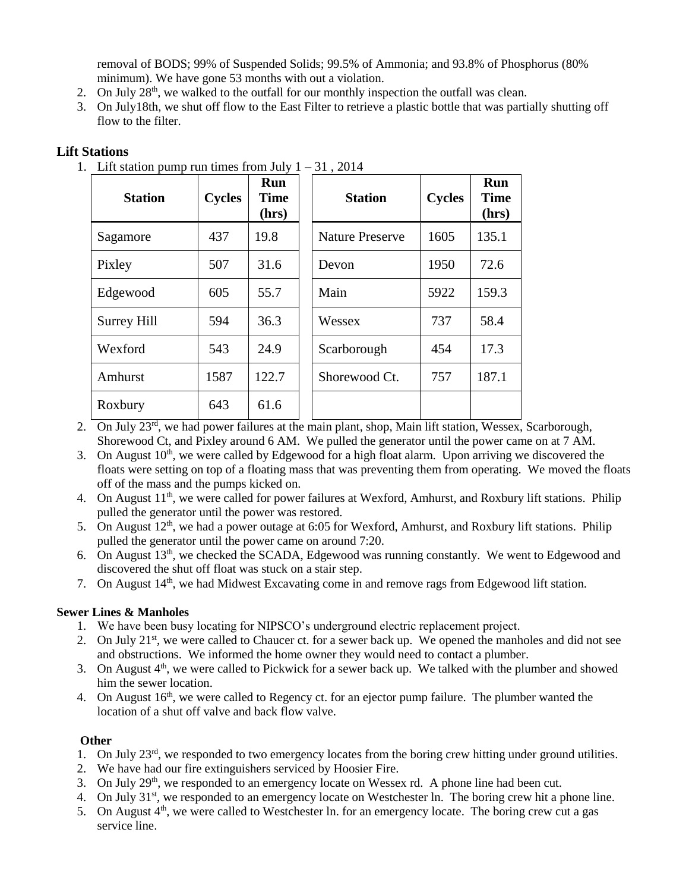removal of BODS; 99% of Suspended Solids; 99.5% of Ammonia; and 93.8% of Phosphorus (80% minimum). We have gone 53 months with out a violation.

- 2. On July  $28<sup>th</sup>$ , we walked to the outfall for our monthly inspection the outfall was clean.
- 3. On July18th, we shut off flow to the East Filter to retrieve a plastic bottle that was partially shutting off flow to the filter.

# **Lift Stations**

1. Lift station pump run times from July  $1 - 31$ , 2014

| <b>Station</b> | <b>Cycles</b> | Run<br><b>Time</b><br>(hrs) | <b>Station</b>         | <b>Cycles</b> | Run<br><b>Time</b><br>(hrs) |
|----------------|---------------|-----------------------------|------------------------|---------------|-----------------------------|
| Sagamore       | 437           | 19.8                        | <b>Nature Preserve</b> | 1605          | 135.1                       |
| Pixley         | 507           | 31.6                        | Devon                  | 1950          | 72.6                        |
| Edgewood       | 605           | 55.7                        | Main                   | 5922          | 159.3                       |
| Surrey Hill    | 594           | 36.3                        | Wessex                 | 737           | 58.4                        |
| Wexford        | 543           | 24.9                        | Scarborough            | 454           | 17.3                        |
| Amhurst        | 1587          | 122.7                       | Shorewood Ct.          | 757           | 187.1                       |
| Roxbury        | 643           | 61.6                        |                        |               |                             |

- 2. On July 23rd, we had power failures at the main plant, shop, Main lift station, Wessex, Scarborough, Shorewood Ct, and Pixley around 6 AM. We pulled the generator until the power came on at 7 AM.
- 3. On August  $10<sup>th</sup>$ , we were called by Edgewood for a high float alarm. Upon arriving we discovered the floats were setting on top of a floating mass that was preventing them from operating. We moved the floats off of the mass and the pumps kicked on.
- 4. On August 11<sup>th</sup>, we were called for power failures at Wexford, Amhurst, and Roxbury lift stations. Philip pulled the generator until the power was restored.
- 5. On August 12<sup>th</sup>, we had a power outage at 6:05 for Wexford, Amhurst, and Roxbury lift stations. Philip pulled the generator until the power came on around 7:20.
- 6. On August 13th, we checked the SCADA, Edgewood was running constantly. We went to Edgewood and discovered the shut off float was stuck on a stair step.
- 7. On August 14<sup>th</sup>, we had Midwest Excavating come in and remove rags from Edgewood lift station.

## **Sewer Lines & Manholes**

- 1. We have been busy locating for NIPSCO's underground electric replacement project.
- 2. On July  $21^{st}$ , we were called to Chaucer ct. for a sewer back up. We opened the manholes and did not see and obstructions. We informed the home owner they would need to contact a plumber.
- 3. On August  $4<sup>th</sup>$ , we were called to Pickwick for a sewer back up. We talked with the plumber and showed him the sewer location.
- 4. On August 16<sup>th</sup>, we were called to Regency ct. for an ejector pump failure. The plumber wanted the location of a shut off valve and back flow valve.

## **Other**

- 1. On July  $23<sup>rd</sup>$ , we responded to two emergency locates from the boring crew hitting under ground utilities.
- 2. We have had our fire extinguishers serviced by Hoosier Fire.
- 3. On July 29th, we responded to an emergency locate on Wessex rd. A phone line had been cut.
- 4. On July 31<sup>st</sup>, we responded to an emergency locate on Westchester ln. The boring crew hit a phone line.
- 5. On August  $4<sup>th</sup>$ , we were called to Westchester ln. for an emergency locate. The boring crew cut a gas service line.